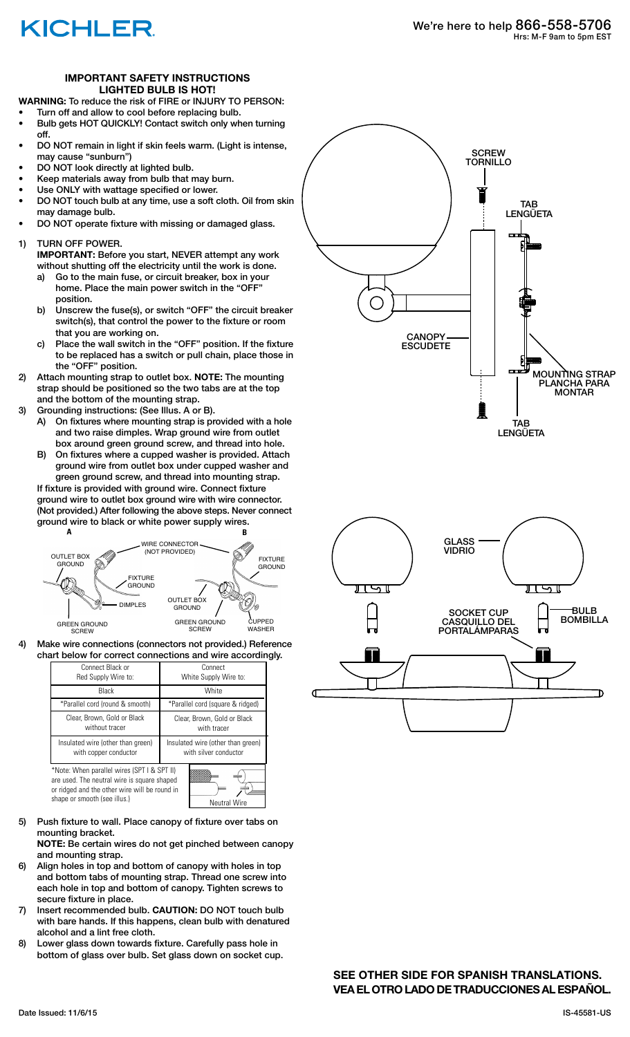## KICHLER

### **IMPORTANT SAFETY INSTRUCTIONS LIGHTED BULB IS HOT!**

**WARNING:** To reduce the risk of FIRE or INJURY TO PERSON:

- Turn off and allow to cool before replacing bulb.
- Bulb gets HOT QUICKLY! Contact switch only when turning off.
- DO NOT remain in light if skin feels warm. (Light is intense, may cause "sunburn")
- DO NOT look directly at lighted bulb.
- Keep materials away from bulb that may burn.
- Use ONLY with wattage specified or lower.
- DO NOT touch bulb at any time, use a soft cloth. Oil from skin may damage bulb.
- DO NOT operate fixture with missing or damaged glass.
- 1) TURN OFF POWER.
	- **IMPORTANT:** Before you start, NEVER attempt any work without shutting off the electricity until the work is done.
	- a) Go to the main fuse, or circuit breaker, box in your home. Place the main power switch in the "OFF" position.
	- b) Unscrew the fuse(s), or switch "OFF" the circuit breaker switch(s), that control the power to the fixture or room that you are working on.
	- c) Place the wall switch in the "OFF" position. If the fixture to be replaced has a switch or pull chain, place those in the "OFF" position.
- 2) Attach mounting strap to outlet box. **NOTE:** The mounting strap should be positioned so the two tabs are at the top and the bottom of the mounting strap.
- 3) Grounding instructions: (See Illus. A or B).
	- A) On fixtures where mounting strap is provided with a hole and two raise dimples. Wrap ground wire from outlet box around green ground screw, and thread into hole.
	- B) On fixtures where a cupped washer is provided. Attach ground wire from outlet box under cupped washer and green ground screw, and thread into mounting strap.

If fixture is provided with ground wire. Connect fixture ground wire to outlet box ground wire with wire connector. (Not provided.) After following the above steps. Never connect ground wire to black or white power supply wires.



4) Make wire connections (connectors not provided.) Reference chart below for correct connections and wire accordingly.

| Connect Black or<br>Red Supply Wire to:                                                                                                                                                            | Connect<br>White Supply Wire to:                           |
|----------------------------------------------------------------------------------------------------------------------------------------------------------------------------------------------------|------------------------------------------------------------|
| Black                                                                                                                                                                                              | White                                                      |
| *Parallel cord (round & smooth)                                                                                                                                                                    | *Parallel cord (square & ridged)                           |
| Clear, Brown, Gold or Black<br>without tracer                                                                                                                                                      | Clear, Brown, Gold or Black<br>with tracer                 |
| Insulated wire (other than green)<br>with copper conductor                                                                                                                                         | Insulated wire (other than green)<br>with silver conductor |
| *Note: When parallel wires (SPT I & SPT II)<br>are used. The neutral wire is square shaped<br>or ridged and the other wire will be round in<br>shape or smooth (see illus.)<br><b>Neutral Wire</b> |                                                            |

5) Push fixture to wall. Place canopy of fixture over tabs on mounting bracket.

 **NOTE:** Be certain wires do not get pinched between canopy and mounting strap.

- 6) Align holes in top and bottom of canopy with holes in top and bottom tabs of mounting strap. Thread one screw into each hole in top and bottom of canopy. Tighten screws to secure fixture in place.
- 7) Insert recommended bulb. **CAUTION:** DO NOT touch bulb with bare hands. If this happens, clean bulb with denatured alcohol and a lint free cloth.
- 8) Lower glass down towards fixture. Carefully pass hole in bottom of glass over bulb. Set glass down on socket cup.





**SEE OTHER SIDE FOR SPANISH TRANSLATIONS. VEA EL OTRO LADO DE TRADUCCIONES AL ESPAÑOL.**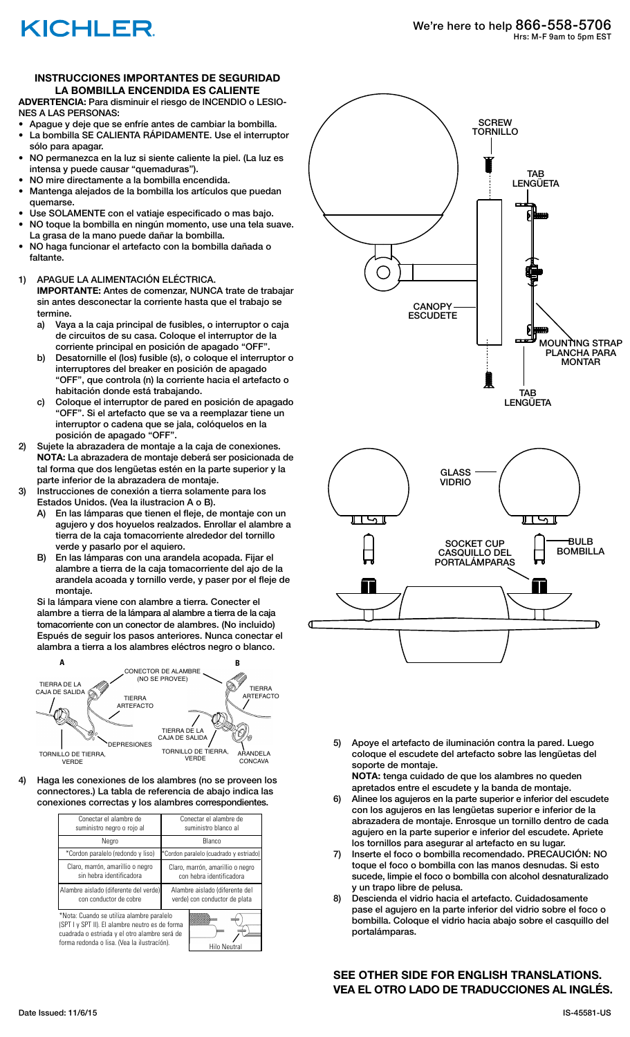# KICHLER

### **INSTRUCCIONES IMPORTANTES DE SEGURIDAD LA BOMBILLA ENCENDIDA ES CALIENTE**

**ADVERTENCIA:** Para disminuir el riesgo de INCENDIO o LESIO-NES A LAS PERSONAS:

- Apague y deje que se enfríe antes de cambiar la bombilla. La bombilla SE CALIENTA RÁPIDAMENTE. Use el interruptor sólo para apagar.
- NO permanezca en la luz si siente caliente la piel. (La luz es intensa y puede causar "quemaduras").
- NO mire directamente a la bombilla encendida.
- Mantenga alejados de la bombilla los artículos que puedan quemarse.
- Use SOLAMENTE con el vatiaje especificado o mas bajo. • NO toque la bombilla en ningún momento, use una tela suave. La grasa de la mano puede dañar la bombilla.
- NO haga funcionar el artefacto con la bombilla dañada o faltante.

### 1) APAGUE LA ALIMENTACIÓN ELÉCTRICA.

 **IMPORTANTE:** Antes de comenzar, NUNCA trate de trabajar sin antes desconectar la corriente hasta que el trabajo se termine.

- a) Vaya a la caja principal de fusibles, o interruptor o caja de circuitos de su casa. Coloque el interruptor de la corriente principal en posición de apagado "OFF".
- b) Desatornille el (los) fusible (s), o coloque el interruptor o interruptores del breaker en posición de apagado "OFF", que controla (n) la corriente hacia el artefacto o habitación donde está trabajando.
- c) Coloque el interruptor de pared en posición de apagado "OFF". Si el artefacto que se va a reemplazar tiene un interruptor o cadena que se jala, colóquelos en la posición de apagado "OFF".
- 2) Sujete la abrazadera de montaje a la caja de conexiones. **NOTA:** La abrazadera de montaje deberá ser posicionada de tal forma que dos lengüetas estén en la parte superior y la parte inferior de la abrazadera de montaje.
- 3) Instrucciones de conexión a tierra solamente para los Estados Unidos. (Vea la ilustracion A o B).
	- A) En las lámparas que tienen el fleje, de montaje con un agujero y dos hoyuelos realzados. Enrollar el alambre a tierra de la caja tomacorriente alrededor del tornillo verde y pasarlo por el aquiero.
	- B) En las lámparas con una arandela acopada. Fijar el alambre a tierra de la caja tomacorriente del ajo de la arandela acoada y tornillo verde, y paser por el fleje de montaje.

 Si la lámpara viene con alambre a tierra. Conecter el alambre a tierra de la lámpara al alambre a tierra de la caja tomacorriente con un conector de alambres. (No incluido) Espués de seguir los pasos anteriores. Nunca conectar el alambra a tierra a los alambres eléctros negro o blanco.



4) Haga les conexiones de los alambres (no se proveen los connectores.) La tabla de referencia de abajo indica las conexiones correctas y los alambres correspondientes.

| Conectar el alambre de<br>suministro negro o rojo al                                                                                                                                                                | Conectar el alambre de<br>suministro blanco al                  |
|---------------------------------------------------------------------------------------------------------------------------------------------------------------------------------------------------------------------|-----------------------------------------------------------------|
| Negro                                                                                                                                                                                                               | Blanco                                                          |
| *Cordon paralelo (redondo y liso)                                                                                                                                                                                   | *Cordon paralelo (cuadrado y estriado)                          |
| Claro, marrón, amarillio o negro<br>sin hebra identificadora                                                                                                                                                        | Claro, marrón, amarillio o negro<br>con hebra identificadora    |
| Alambre aislado (diferente del verde)<br>con conductor de cobre                                                                                                                                                     | Alambre aislado (diferente del<br>verde) con conductor de plata |
| *Nota: Cuando se utiliza alambre paralelo<br>(SPT I y SPT II). El alambre neutro es de forma<br>cuadrada o estriada y el otro alambre será de<br>forma redonda o lisa. (Vea la ilustración).<br><b>Hilo Neutral</b> |                                                                 |



5) Apoye el artefacto de iluminación contra la pared. Luego coloque el escudete del artefacto sobre las lengüetas del soporte de montaje.

 **NOTA:** tenga cuidado de que los alambres no queden apretados entre el escudete y la banda de montaje.

- Alinee los agujeros en la parte superior e inferior del escudete con los agujeros en las lengüetas superior e inferior de la abrazadera de montaje. Enrosque un tornillo dentro de cada agujero en la parte superior e inferior del escudete. Apriete los tornillos para asegurar al artefacto en su lugar.
- 7) Inserte el foco o bombilla recomendado. PRECAUCIÓN: NO toque el foco o bombilla con las manos desnudas. Si esto sucede, limpie el foco o bombilla con alcohol desnaturalizado y un trapo libre de pelusa.
- 8) Descienda el vidrio hacia el artefacto. Cuidadosamente pase el agujero en la parte inferior del vidrio sobre el foco o bombilla. Coloque el vidrio hacia abajo sobre el casquillo del portalámparas.

**SEE OTHER SIDE FOR ENGLISH TRANSLATIONS. VEA EL OTRO LADO DE TRADUCCIONES AL INGLÉS.**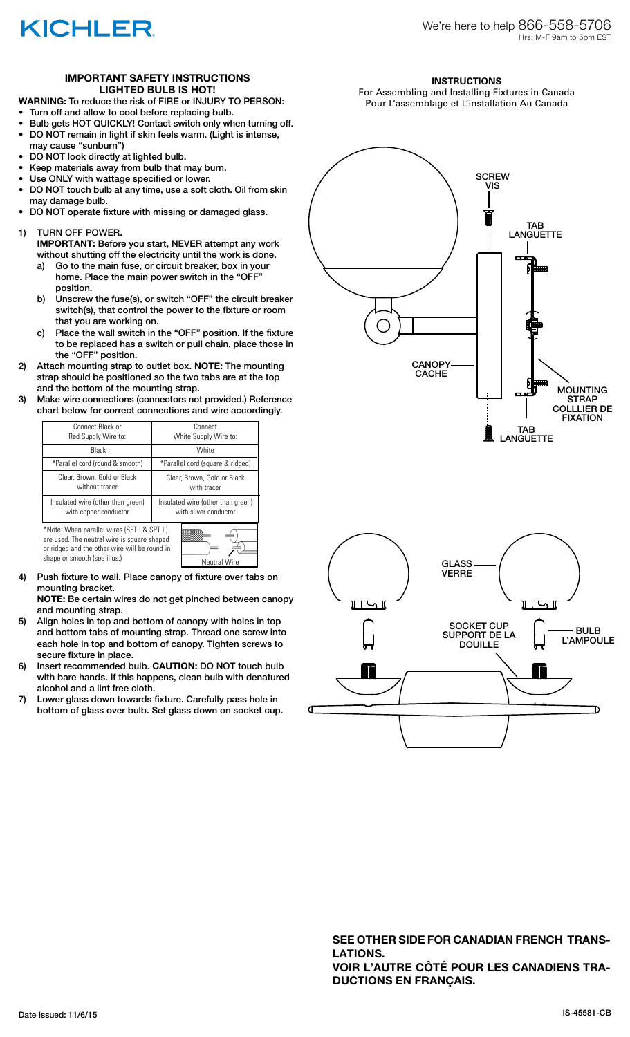

### **IMPORTANT SAFETY INSTRUCTIONS LIGHTED BULB IS HOT!**

**WARNING:** To reduce the risk of FIRE or INJURY TO PERSON:

- Turn off and allow to cool before replacing bulb.
- Bulb gets HOT QUICKLY! Contact switch only when turning off. • DO NOT remain in light if skin feels warm. (Light is intense, may cause "sunburn")
- DO NOT look directly at lighted bulb.
- Keep materials away from bulb that may burn.
- Use ONLY with wattage specified or lower.
- DO NOT touch bulb at any time, use a soft cloth. Oil from skin may damage bulb.
- DO NOT operate fixture with missing or damaged glass.
- 1) TURN OFF POWER.

 **IMPORTANT:** Before you start, NEVER attempt any work without shutting off the electricity until the work is done.

- a) Go to the main fuse, or circuit breaker, box in your home. Place the main power switch in the "OFF" position.
- b) Unscrew the fuse(s), or switch "OFF" the circuit breaker switch(s), that control the power to the fixture or room that you are working on.
- c) Place the wall switch in the "OFF" position. If the fixture to be replaced has a switch or pull chain, place those in the "OFF" position.
- 2) Attach mounting strap to outlet box. **NOTE:** The mounting strap should be positioned so the two tabs are at the top and the bottom of the mounting strap.
- 3) Make wire connections (connectors not provided.) Reference chart below for correct connections and wire accordingly.



are used. The neutral wire is square shaped or ridged and the other wire will be round in shape or smooth (see illus.) Neutral Wire



4) Push fixture to wall. Place canopy of fixture over tabs on mounting bracket.

 **NOTE:** Be certain wires do not get pinched between canopy and mounting strap.

- 5) Align holes in top and bottom of canopy with holes in top and bottom tabs of mounting strap. Thread one screw into each hole in top and bottom of canopy. Tighten screws to secure fixture in place.
- 6) Insert recommended bulb. **CAUTION:** DO NOT touch bulb with bare hands. If this happens, clean bulb with denatured alcohol and a lint free cloth.
- 7) Lower glass down towards fixture. Carefully pass hole in bottom of glass over bulb. Set glass down on socket cup.



For Assembling and Installing Fixtures in Canada Pour L'assemblage et L'installation Au Canada





**SEE OTHER SIDE FOR CANADIAN FRENCH TRANS-LATIONS. VOIR L'AUTRE CÔTÉ POUR LES CANADIENS TRA-DUCTIONS EN FRANÇAIS.**